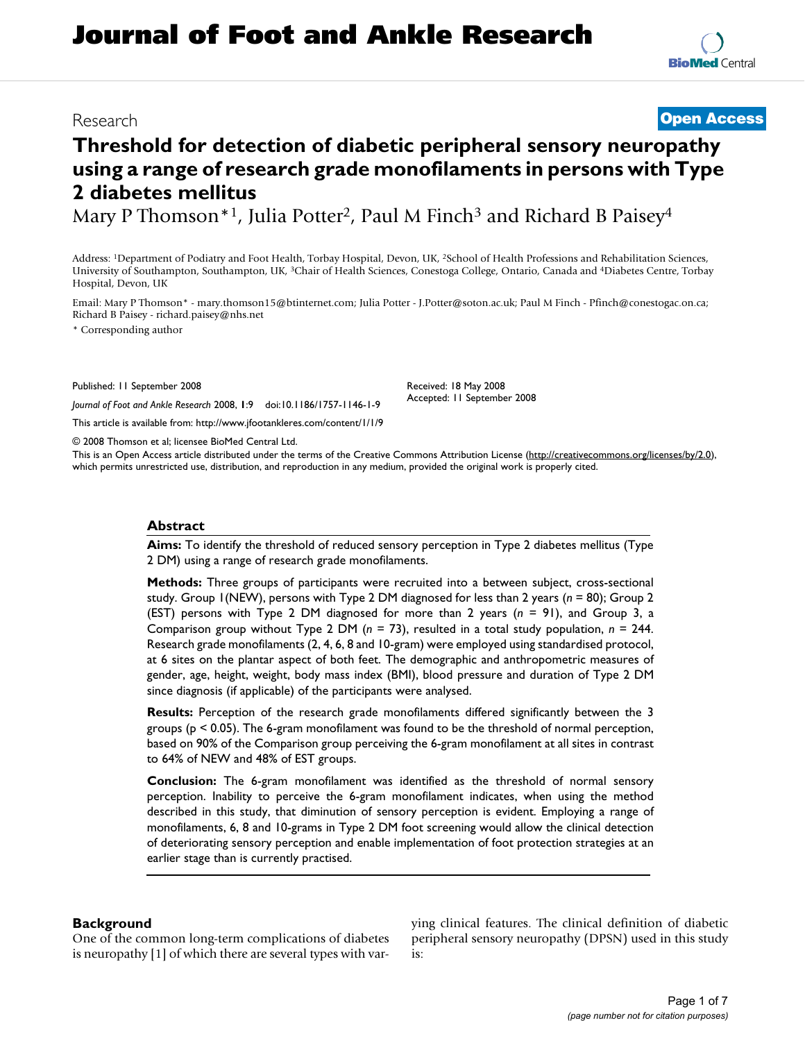# **Journal of Foot and Ankle Research**

### Research **[Open Access](http://www.biomedcentral.com/info/about/charter/)**

## **Threshold for detection of diabetic peripheral sensory neuropathy using a range of research grade monofilaments in persons with Type 2 diabetes mellitus**

Mary P Thomson<sup>\*1</sup>, Julia Potter<sup>2</sup>, Paul M Finch<sup>3</sup> and Richard B Paisey<sup>4</sup>

Address: 1Department of Podiatry and Foot Health, Torbay Hospital, Devon, UK, 2School of Health Professions and Rehabilitation Sciences, University of Southampton, Southampton, UK, 3Chair of Health Sciences, Conestoga College, Ontario, Canada and 4Diabetes Centre, Torbay Hospital, Devon, UK

Email: Mary P Thomson\* - mary.thomson15@btinternet.com; Julia Potter - J.Potter@soton.ac.uk; Paul M Finch - Pfinch@conestogac.on.ca; Richard B Paisey - richard.paisey@nhs.net

\* Corresponding author

Published: 11 September 2008

Received: 18 May 2008 Accepted: 11 September 2008

© 2008 Thomson et al; licensee BioMed Central Ltd.

*Journal of Foot and Ankle Research* 2008, **1**:9 doi:10.1186/1757-1146-1-9

[This article is available from: http://www.jfootankleres.com/content/1/1/9](http://www.jfootankleres.com/content/1/1/9)

This is an Open Access article distributed under the terms of the Creative Commons Attribution License [\(http://creativecommons.org/licenses/by/2.0\)](http://creativecommons.org/licenses/by/2.0), which permits unrestricted use, distribution, and reproduction in any medium, provided the original work is properly cited.

#### **Abstract**

**Aims:** To identify the threshold of reduced sensory perception in Type 2 diabetes mellitus (Type 2 DM) using a range of research grade monofilaments.

**Methods:** Three groups of participants were recruited into a between subject, cross-sectional study. Group 1(NEW), persons with Type 2 DM diagnosed for less than 2 years (*n* = 80); Group 2 (EST) persons with Type 2 DM diagnosed for more than 2 years (*n* = 91), and Group 3, a Comparison group without Type 2 DM (*n* = 73), resulted in a total study population, *n* = 244. Research grade monofilaments (2, 4, 6, 8 and 10-gram) were employed using standardised protocol, at 6 sites on the plantar aspect of both feet. The demographic and anthropometric measures of gender, age, height, weight, body mass index (BMI), blood pressure and duration of Type 2 DM since diagnosis (if applicable) of the participants were analysed.

**Results:** Perception of the research grade monofilaments differed significantly between the 3 groups (p < 0.05). The 6-gram monofilament was found to be the threshold of normal perception, based on 90% of the Comparison group perceiving the 6-gram monofilament at all sites in contrast to 64% of NEW and 48% of EST groups.

**Conclusion:** The 6-gram monofilament was identified as the threshold of normal sensory perception. Inability to perceive the 6-gram monofilament indicates, when using the method described in this study, that diminution of sensory perception is evident. Employing a range of monofilaments, 6, 8 and 10-grams in Type 2 DM foot screening would allow the clinical detection of deteriorating sensory perception and enable implementation of foot protection strategies at an earlier stage than is currently practised.

#### **Background**

One of the common long-term complications of diabetes is neuropathy [1] of which there are several types with varying clinical features. The clinical definition of diabetic peripheral sensory neuropathy (DPSN) used in this study is: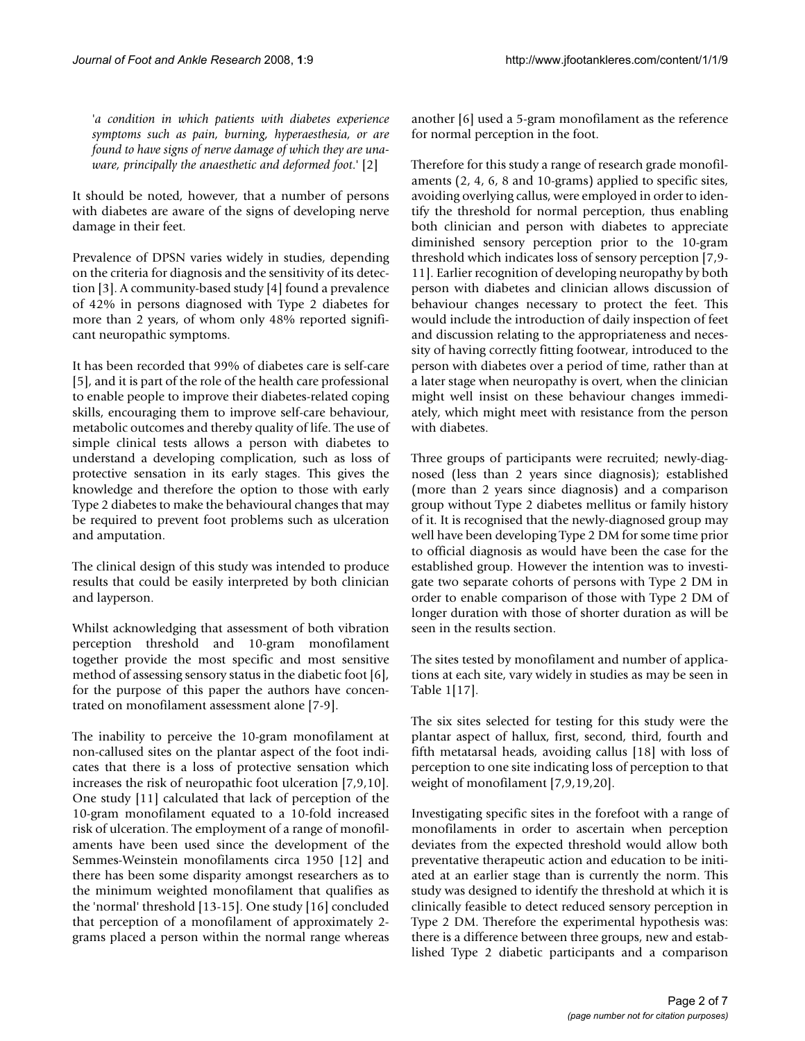'*a condition in which patients with diabetes experience symptoms such as pain, burning, hyperaesthesia, or are found to have signs of nerve damage of which they are unaware, principally the anaesthetic and deformed foot*.' [2]

It should be noted, however, that a number of persons with diabetes are aware of the signs of developing nerve damage in their feet.

Prevalence of DPSN varies widely in studies, depending on the criteria for diagnosis and the sensitivity of its detection [3]. A community-based study [4] found a prevalence of 42% in persons diagnosed with Type 2 diabetes for more than 2 years, of whom only 48% reported significant neuropathic symptoms.

It has been recorded that 99% of diabetes care is self-care [5], and it is part of the role of the health care professional to enable people to improve their diabetes-related coping skills, encouraging them to improve self-care behaviour, metabolic outcomes and thereby quality of life. The use of simple clinical tests allows a person with diabetes to understand a developing complication, such as loss of protective sensation in its early stages. This gives the knowledge and therefore the option to those with early Type 2 diabetes to make the behavioural changes that may be required to prevent foot problems such as ulceration and amputation.

The clinical design of this study was intended to produce results that could be easily interpreted by both clinician and layperson.

Whilst acknowledging that assessment of both vibration perception threshold and 10-gram monofilament together provide the most specific and most sensitive method of assessing sensory status in the diabetic foot [6], for the purpose of this paper the authors have concentrated on monofilament assessment alone [7-9].

The inability to perceive the 10-gram monofilament at non-callused sites on the plantar aspect of the foot indicates that there is a loss of protective sensation which increases the risk of neuropathic foot ulceration [7,9,10]. One study [11] calculated that lack of perception of the 10-gram monofilament equated to a 10-fold increased risk of ulceration. The employment of a range of monofilaments have been used since the development of the Semmes-Weinstein monofilaments circa 1950 [12] and there has been some disparity amongst researchers as to the minimum weighted monofilament that qualifies as the 'normal' threshold [13-15]. One study [16] concluded that perception of a monofilament of approximately 2 grams placed a person within the normal range whereas another [6] used a 5-gram monofilament as the reference for normal perception in the foot.

Therefore for this study a range of research grade monofilaments (2, 4, 6, 8 and 10-grams) applied to specific sites, avoiding overlying callus, were employed in order to identify the threshold for normal perception, thus enabling both clinician and person with diabetes to appreciate diminished sensory perception prior to the 10-gram threshold which indicates loss of sensory perception [7,9- 11]. Earlier recognition of developing neuropathy by both person with diabetes and clinician allows discussion of behaviour changes necessary to protect the feet. This would include the introduction of daily inspection of feet and discussion relating to the appropriateness and necessity of having correctly fitting footwear, introduced to the person with diabetes over a period of time, rather than at a later stage when neuropathy is overt, when the clinician might well insist on these behaviour changes immediately, which might meet with resistance from the person with diabetes.

Three groups of participants were recruited; newly-diagnosed (less than 2 years since diagnosis); established (more than 2 years since diagnosis) and a comparison group without Type 2 diabetes mellitus or family history of it. It is recognised that the newly-diagnosed group may well have been developing Type 2 DM for some time prior to official diagnosis as would have been the case for the established group. However the intention was to investigate two separate cohorts of persons with Type 2 DM in order to enable comparison of those with Type 2 DM of longer duration with those of shorter duration as will be seen in the results section.

The sites tested by monofilament and number of applications at each site, vary widely in studies as may be seen in Table 1[17].

The six sites selected for testing for this study were the plantar aspect of hallux, first, second, third, fourth and fifth metatarsal heads, avoiding callus [18] with loss of perception to one site indicating loss of perception to that weight of monofilament [7,9,19,20].

Investigating specific sites in the forefoot with a range of monofilaments in order to ascertain when perception deviates from the expected threshold would allow both preventative therapeutic action and education to be initiated at an earlier stage than is currently the norm. This study was designed to identify the threshold at which it is clinically feasible to detect reduced sensory perception in Type 2 DM. Therefore the experimental hypothesis was: there is a difference between three groups, new and established Type 2 diabetic participants and a comparison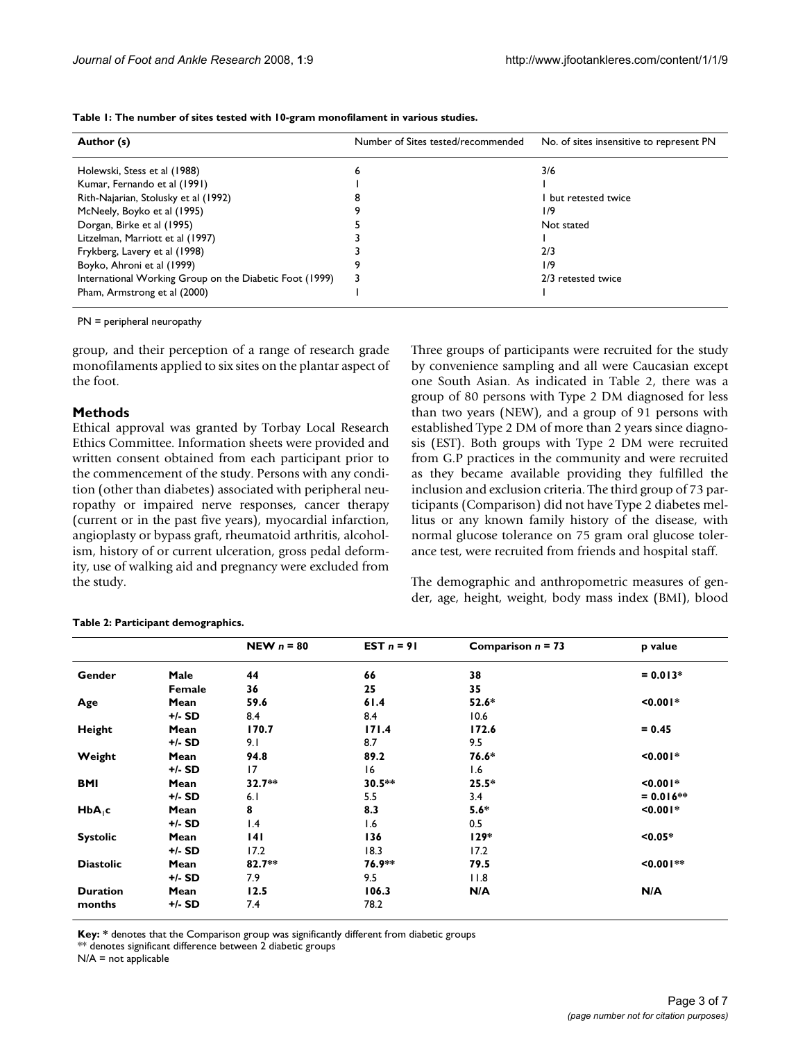| Author (s)                                              | Number of Sites tested/recommended | No. of sites insensitive to represent PN |  |
|---------------------------------------------------------|------------------------------------|------------------------------------------|--|
| Holewski, Stess et al (1988)                            | ь                                  | 3/6                                      |  |
| Kumar, Fernando et al (1991)                            |                                    |                                          |  |
| Rith-Najarian, Stolusky et al (1992)                    |                                    | but retested twice                       |  |
| McNeely, Boyko et al (1995)                             |                                    | 1/9                                      |  |
| Dorgan, Birke et al (1995)                              |                                    | Not stated                               |  |
| Litzelman, Marriott et al (1997)                        |                                    |                                          |  |
| Frykberg, Lavery et al (1998)                           |                                    | 2/3                                      |  |
| Boyko, Ahroni et al (1999)                              |                                    | 1/9                                      |  |
| International Working Group on the Diabetic Foot (1999) |                                    | 2/3 retested twice                       |  |
| Pham, Armstrong et al (2000)                            |                                    |                                          |  |

**Table 1: The number of sites tested with 10-gram monofilament in various studies.**

PN = peripheral neuropathy

group, and their perception of a range of research grade monofilaments applied to six sites on the plantar aspect of the foot.

#### **Methods**

Ethical approval was granted by Torbay Local Research Ethics Committee. Information sheets were provided and written consent obtained from each participant prior to the commencement of the study. Persons with any condition (other than diabetes) associated with peripheral neuropathy or impaired nerve responses, cancer therapy (current or in the past five years), myocardial infarction, angioplasty or bypass graft, rheumatoid arthritis, alcoholism, history of or current ulceration, gross pedal deformity, use of walking aid and pregnancy were excluded from the study.

Three groups of participants were recruited for the study by convenience sampling and all were Caucasian except one South Asian. As indicated in Table 2, there was a group of 80 persons with Type 2 DM diagnosed for less than two years (NEW), and a group of 91 persons with established Type 2 DM of more than 2 years since diagnosis (EST). Both groups with Type 2 DM were recruited from G.P practices in the community and were recruited as they became available providing they fulfilled the inclusion and exclusion criteria. The third group of 73 participants (Comparison) did not have Type 2 diabetes mellitus or any known family history of the disease, with normal glucose tolerance on 75 gram oral glucose tolerance test, were recruited from friends and hospital staff.

The demographic and anthropometric measures of gender, age, height, weight, body mass index (BMI), blood

|                    |        | NEW $n = 80$ | EST $n = 91$ | Comparison $n = 73$ | p value        |
|--------------------|--------|--------------|--------------|---------------------|----------------|
| Gender             | Male   | 44           | 66           | 38                  | $= 0.013*$     |
|                    | Female | 36           | 25           | 35                  |                |
| Age                | Mean   | 59.6         | 61.4         | $52.6*$             | $0.001*$       |
|                    | +/- SD | 8.4          | 8.4          | 10.6                |                |
| Height             | Mean   | 170.7        | 171.4        | 172.6               | $= 0.45$       |
|                    | +/- SD | 9.1          | 8.7          | 9.5                 |                |
| Weight             | Mean   | 94.8         | 89.2         | 76.6*               | $0.001*$       |
|                    | +/- SD | 17           | 16           | 1.6                 |                |
| <b>BMI</b>         | Mean   | $32.7**$     | $30.5**$     | $25.5*$             | $10.001*$      |
|                    | +/- SD | 6.1          | 5.5          | 3.4                 | $= 0.016**$    |
| HbA <sub>1</sub> c | Mean   | 8            | 8.3          | $5.6*$              | $0.001*$       |
|                    | +/- SD | 1.4          | 1.6          | 0.5                 |                |
| <b>Systolic</b>    | Mean   | 141          | 136          | $129*$              | $< 0.05*$      |
|                    | +/- SD | 17.2         | 18.3         | 17.2                |                |
| <b>Diastolic</b>   | Mean   | $82.7**$     | 76.9**       | 79.5                | $\leq 0.001**$ |
|                    | +/- SD | 7.9          | 9.5          | 11.8                |                |
| <b>Duration</b>    | Mean   | 12.5         | 106.3        | N/A                 | N/A            |
| months             | +/- SD | 7.4          | 78.2         |                     |                |

#### **Table 2: Participant demographics.**

**Key: \*** denotes that the Comparison group was significantly different from diabetic groups

\*\* denotes significant difference between 2 diabetic groups

 $N/A$  = not applicable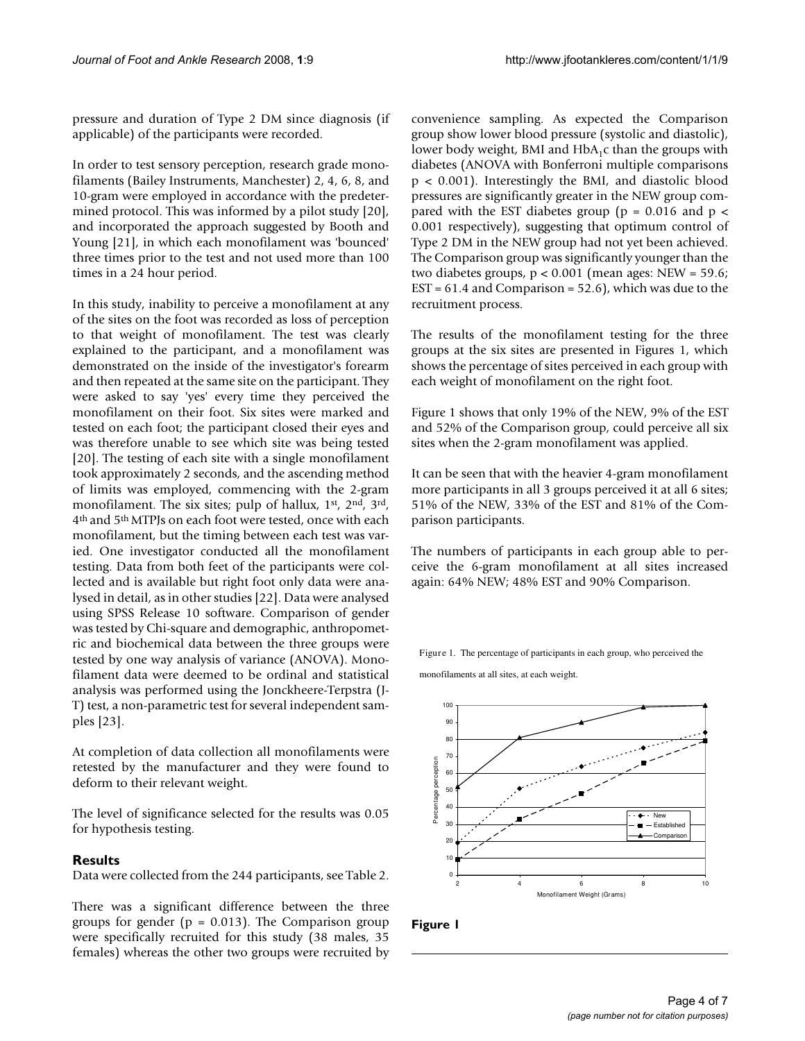pressure and duration of Type 2 DM since diagnosis (if applicable) of the participants were recorded.

In order to test sensory perception, research grade monofilaments (Bailey Instruments, Manchester) 2, 4, 6, 8, and 10-gram were employed in accordance with the predetermined protocol. This was informed by a pilot study [20], and incorporated the approach suggested by Booth and Young [21], in which each monofilament was 'bounced' three times prior to the test and not used more than 100 times in a 24 hour period.

In this study, inability to perceive a monofilament at any of the sites on the foot was recorded as loss of perception to that weight of monofilament. The test was clearly explained to the participant, and a monofilament was demonstrated on the inside of the investigator's forearm and then repeated at the same site on the participant. They were asked to say 'yes' every time they perceived the monofilament on their foot. Six sites were marked and tested on each foot; the participant closed their eyes and was therefore unable to see which site was being tested [20]. The testing of each site with a single monofilament took approximately 2 seconds, and the ascending method of limits was employed, commencing with the 2-gram monofilament. The six sites; pulp of hallux, 1<sup>st</sup>, 2<sup>nd</sup>, 3<sup>rd</sup>, 4th and 5th MTPJs on each foot were tested, once with each monofilament, but the timing between each test was varied. One investigator conducted all the monofilament testing. Data from both feet of the participants were collected and is available but right foot only data were analysed in detail, as in other studies [22]. Data were analysed using SPSS Release 10 software. Comparison of gender was tested by Chi-square and demographic, anthropometric and biochemical data between the three groups were tested by one way analysis of variance (ANOVA). Monofilament data were deemed to be ordinal and statistical analysis was performed using the Jonckheere-Terpstra (J-T) test, a non-parametric test for several independent samples [23].

At completion of data collection all monofilaments were retested by the manufacturer and they were found to deform to their relevant weight.

The level of significance selected for the results was 0.05 for hypothesis testing.

#### **Results**

Data were collected from the 244 participants, see Table 2.

There was a significant difference between the three groups for gender ( $p = 0.013$ ). The Comparison group were specifically recruited for this study (38 males, 35 females) whereas the other two groups were recruited by convenience sampling. As expected the Comparison group show lower blood pressure (systolic and diastolic), lower body weight, BMI and  $HbA_1c$  than the groups with diabetes (ANOVA with Bonferroni multiple comparisons p < 0.001). Interestingly the BMI, and diastolic blood pressures are significantly greater in the NEW group compared with the EST diabetes group ( $p = 0.016$  and  $p <$ 0.001 respectively), suggesting that optimum control of Type 2 DM in the NEW group had not yet been achieved. The Comparison group was significantly younger than the two diabetes groups,  $p < 0.001$  (mean ages: NEW = 59.6; EST = 61.4 and Comparison = 52.6), which was due to the recruitment process.

The results of the monofilament testing for the three groups at the six sites are presented in Figures 1, which shows the percentage of sites perceived in each group with each weight of monofilament on the right foot.

Figure 1 shows that only 19% of the NEW, 9% of the EST and 52% of the Comparison group, could perceive all six sites when the 2-gram monofilament was applied.

It can be seen that with the heavier 4-gram monofilament more participants in all 3 groups perceived it at all 6 sites; 51% of the NEW, 33% of the EST and 81% of the Comparison participants.

The numbers of participants in each group able to perceive the 6-gram monofilament at all sites increased again: 64% NEW; 48% EST and 90% Comparison.

Figure 1. The percentage of participants in each group, who perceived the

monofilaments at all sites, at each weight.



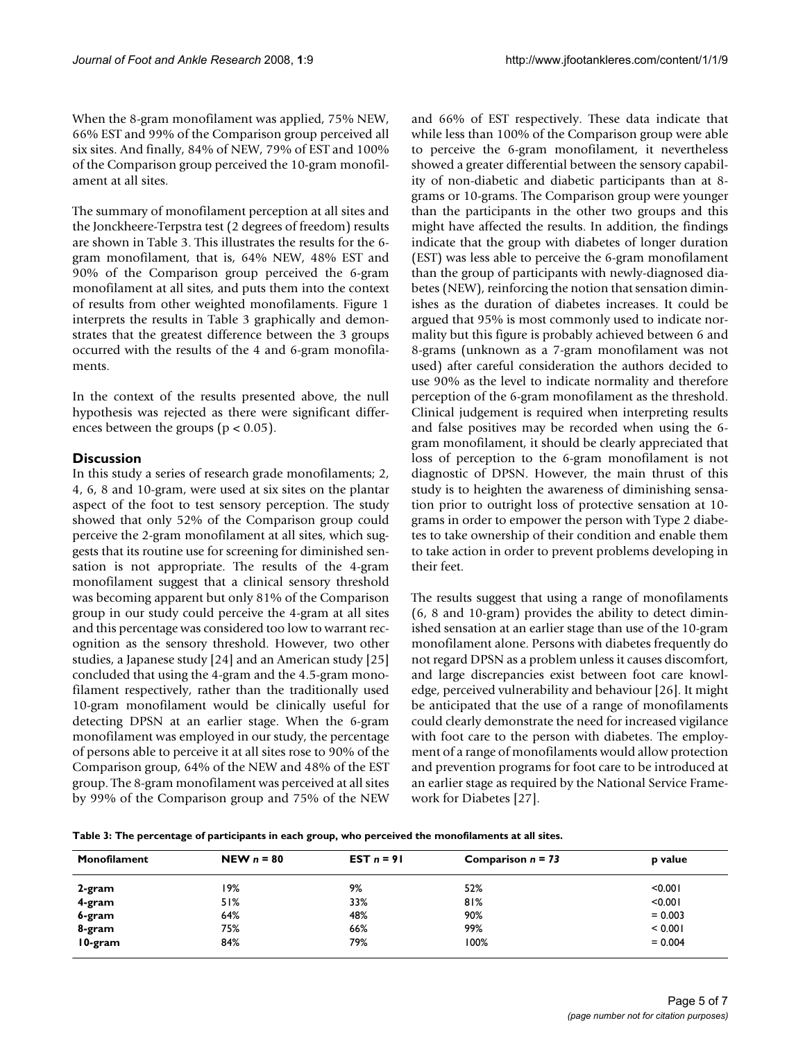When the 8-gram monofilament was applied, 75% NEW, 66% EST and 99% of the Comparison group perceived all six sites. And finally, 84% of NEW, 79% of EST and 100% of the Comparison group perceived the 10-gram monofilament at all sites.

The summary of monofilament perception at all sites and the Jonckheere-Terpstra test (2 degrees of freedom) results are shown in Table 3. This illustrates the results for the 6 gram monofilament, that is, 64% NEW, 48% EST and 90% of the Comparison group perceived the 6-gram monofilament at all sites, and puts them into the context of results from other weighted monofilaments. Figure 1 interprets the results in Table 3 graphically and demonstrates that the greatest difference between the 3 groups occurred with the results of the 4 and 6-gram monofilaments.

In the context of the results presented above, the null hypothesis was rejected as there were significant differences between the groups ( $p < 0.05$ ).

#### **Discussion**

In this study a series of research grade monofilaments; 2, 4, 6, 8 and 10-gram, were used at six sites on the plantar aspect of the foot to test sensory perception. The study showed that only 52% of the Comparison group could perceive the 2-gram monofilament at all sites, which suggests that its routine use for screening for diminished sensation is not appropriate. The results of the 4-gram monofilament suggest that a clinical sensory threshold was becoming apparent but only 81% of the Comparison group in our study could perceive the 4-gram at all sites and this percentage was considered too low to warrant recognition as the sensory threshold. However, two other studies, a Japanese study [24] and an American study [25] concluded that using the 4-gram and the 4.5-gram monofilament respectively, rather than the traditionally used 10-gram monofilament would be clinically useful for detecting DPSN at an earlier stage. When the 6-gram monofilament was employed in our study, the percentage of persons able to perceive it at all sites rose to 90% of the Comparison group, 64% of the NEW and 48% of the EST group. The 8-gram monofilament was perceived at all sites by 99% of the Comparison group and 75% of the NEW and 66% of EST respectively. These data indicate that while less than 100% of the Comparison group were able to perceive the 6-gram monofilament, it nevertheless showed a greater differential between the sensory capability of non-diabetic and diabetic participants than at 8 grams or 10-grams. The Comparison group were younger than the participants in the other two groups and this might have affected the results. In addition, the findings indicate that the group with diabetes of longer duration (EST) was less able to perceive the 6-gram monofilament than the group of participants with newly-diagnosed diabetes (NEW), reinforcing the notion that sensation diminishes as the duration of diabetes increases. It could be argued that 95% is most commonly used to indicate normality but this figure is probably achieved between 6 and 8-grams (unknown as a 7-gram monofilament was not used) after careful consideration the authors decided to use 90% as the level to indicate normality and therefore perception of the 6-gram monofilament as the threshold. Clinical judgement is required when interpreting results and false positives may be recorded when using the 6 gram monofilament, it should be clearly appreciated that loss of perception to the 6-gram monofilament is not diagnostic of DPSN. However, the main thrust of this study is to heighten the awareness of diminishing sensation prior to outright loss of protective sensation at 10 grams in order to empower the person with Type 2 diabetes to take ownership of their condition and enable them to take action in order to prevent problems developing in their feet.

The results suggest that using a range of monofilaments (6, 8 and 10-gram) provides the ability to detect diminished sensation at an earlier stage than use of the 10-gram monofilament alone. Persons with diabetes frequently do not regard DPSN as a problem unless it causes discomfort, and large discrepancies exist between foot care knowledge, perceived vulnerability and behaviour [26]. It might be anticipated that the use of a range of monofilaments could clearly demonstrate the need for increased vigilance with foot care to the person with diabetes. The employment of a range of monofilaments would allow protection and prevention programs for foot care to be introduced at an earlier stage as required by the National Service Framework for Diabetes [27].

**Table 3: The percentage of participants in each group, who perceived the monofilaments at all sites.**

| Monofilament | NEW $n = 80$ | $EST n = 91$ | Comparison $n = 73$ | p value   |
|--------------|--------------|--------------|---------------------|-----------|
| 2-gram       | 19%          | 9%           | 52%                 | < 0.001   |
| 4-gram       | 51%          | 33%          | 81%                 | < 0.001   |
| 6-gram       | 64%          | 48%          | 90%                 | $= 0.003$ |
| 8-gram       | 75%          | 66%          | 99%                 | < 0.001   |
| 10-gram      | 84%          | 79%          | 100%                | $= 0.004$ |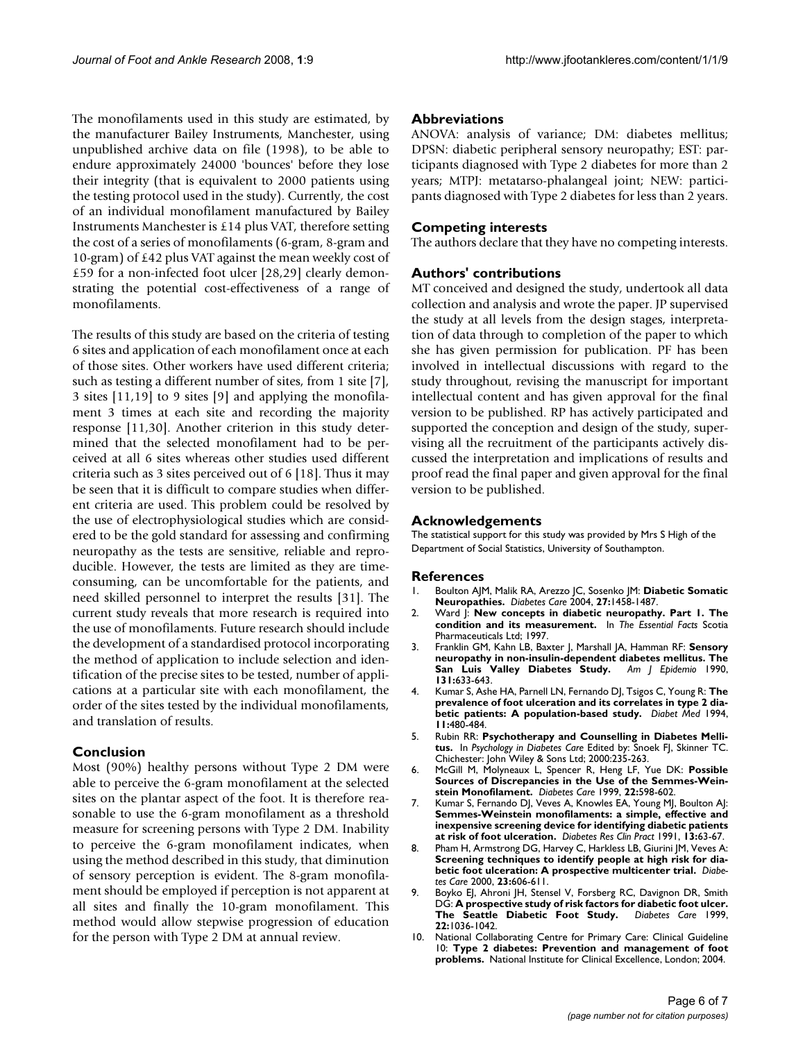The monofilaments used in this study are estimated, by the manufacturer Bailey Instruments, Manchester, using unpublished archive data on file (1998), to be able to endure approximately 24000 'bounces' before they lose their integrity (that is equivalent to 2000 patients using the testing protocol used in the study). Currently, the cost of an individual monofilament manufactured by Bailey Instruments Manchester is £14 plus VAT, therefore setting the cost of a series of monofilaments (6-gram, 8-gram and 10-gram) of £42 plus VAT against the mean weekly cost of £59 for a non-infected foot ulcer [28,29] clearly demonstrating the potential cost-effectiveness of a range of monofilaments.

The results of this study are based on the criteria of testing 6 sites and application of each monofilament once at each of those sites. Other workers have used different criteria; such as testing a different number of sites, from 1 site [7], 3 sites [11,19] to 9 sites [9] and applying the monofilament 3 times at each site and recording the majority response [11,30]. Another criterion in this study determined that the selected monofilament had to be perceived at all 6 sites whereas other studies used different criteria such as 3 sites perceived out of 6 [18]. Thus it may be seen that it is difficult to compare studies when different criteria are used. This problem could be resolved by the use of electrophysiological studies which are considered to be the gold standard for assessing and confirming neuropathy as the tests are sensitive, reliable and reproducible. However, the tests are limited as they are timeconsuming, can be uncomfortable for the patients, and need skilled personnel to interpret the results [31]. The current study reveals that more research is required into the use of monofilaments. Future research should include the development of a standardised protocol incorporating the method of application to include selection and identification of the precise sites to be tested, number of applications at a particular site with each monofilament, the order of the sites tested by the individual monofilaments, and translation of results.

#### **Conclusion**

Most (90%) healthy persons without Type 2 DM were able to perceive the 6-gram monofilament at the selected sites on the plantar aspect of the foot. It is therefore reasonable to use the 6-gram monofilament as a threshold measure for screening persons with Type 2 DM. Inability to perceive the 6-gram monofilament indicates, when using the method described in this study, that diminution of sensory perception is evident. The 8-gram monofilament should be employed if perception is not apparent at all sites and finally the 10-gram monofilament. This method would allow stepwise progression of education for the person with Type 2 DM at annual review.

#### **Abbreviations**

ANOVA: analysis of variance; DM: diabetes mellitus; DPSN: diabetic peripheral sensory neuropathy; EST: participants diagnosed with Type 2 diabetes for more than 2 years; MTPJ: metatarso-phalangeal joint; NEW: participants diagnosed with Type 2 diabetes for less than 2 years.

#### **Competing interests**

The authors declare that they have no competing interests.

#### **Authors' contributions**

MT conceived and designed the study, undertook all data collection and analysis and wrote the paper. JP supervised the study at all levels from the design stages, interpretation of data through to completion of the paper to which she has given permission for publication. PF has been involved in intellectual discussions with regard to the study throughout, revising the manuscript for important intellectual content and has given approval for the final version to be published. RP has actively participated and supported the conception and design of the study, supervising all the recruitment of the participants actively discussed the interpretation and implications of results and proof read the final paper and given approval for the final version to be published.

#### **Acknowledgements**

The statistical support for this study was provided by Mrs S High of the Department of Social Statistics, University of Southampton.

#### **References**

- 1. Boulton AJM, Malik RA, Arezzo JC, Sosenko JM: **[Diabetic Somatic](http://www.ncbi.nlm.nih.gov/entrez/query.fcgi?cmd=Retrieve&db=PubMed&dopt=Abstract&list_uids=15161806) [Neuropathies.](http://www.ncbi.nlm.nih.gov/entrez/query.fcgi?cmd=Retrieve&db=PubMed&dopt=Abstract&list_uids=15161806)** *Diabetes Care* 2004, **27:**1458-1487.
- 2. Ward J: **New concepts in diabetic neuropathy. Part 1. The condition and its measurement.** In *The Essential Facts* Scotia Pharmaceuticals Ltd; 1997.
- 3. Franklin GM, Kahn LB, Baxter J, Marshall JA, Hamman RF: **Sensory neuropathy in non-insulin-dependent diabetes mellitus. The San Luis Valley Diabetes Study.** *Am J Epidemio* 1990, **131:**633-643.
- 4. Kumar S, Ashe HA, Parnell LN, Fernando DJ, Tsigos C, Young R: **[The](http://www.ncbi.nlm.nih.gov/entrez/query.fcgi?cmd=Retrieve&db=PubMed&dopt=Abstract&list_uids=8088127) [prevalence of foot ulceration and its correlates in type 2 dia](http://www.ncbi.nlm.nih.gov/entrez/query.fcgi?cmd=Retrieve&db=PubMed&dopt=Abstract&list_uids=8088127)[betic patients: A population-based study.](http://www.ncbi.nlm.nih.gov/entrez/query.fcgi?cmd=Retrieve&db=PubMed&dopt=Abstract&list_uids=8088127)** *Diabet Med* 1994, **11:**480-484.
- 5. Rubin RR: **Psychotherapy and Counselling in Diabetes Mellitus.** In *Psychology in Diabetes Care* Edited by: Snoek FJ, Skinner TC. Chichester: John Wiley & Sons Ltd; 2000:235-263.
- 6. McGill M, Molyneaux L, Spencer R, Heng LF, Yue DK: **[Possible](http://www.ncbi.nlm.nih.gov/entrez/query.fcgi?cmd=Retrieve&db=PubMed&dopt=Abstract&list_uids=10189538) [Sources of Discrepancies in the Use of the Semmes-Wein](http://www.ncbi.nlm.nih.gov/entrez/query.fcgi?cmd=Retrieve&db=PubMed&dopt=Abstract&list_uids=10189538)[stein Monofilament.](http://www.ncbi.nlm.nih.gov/entrez/query.fcgi?cmd=Retrieve&db=PubMed&dopt=Abstract&list_uids=10189538)** *Diabetes Care* 1999, **22:**598-602.
- 7. Kumar S, Fernando DJ, Veves A, Knowles EA, Young MJ, Boulton AJ: **[Semmes-Weinstein monofilaments: a simple, effective and](http://www.ncbi.nlm.nih.gov/entrez/query.fcgi?cmd=Retrieve&db=PubMed&dopt=Abstract&list_uids=1773715) inexpensive screening device for identifying diabetic patients [at risk of foot ulceration.](http://www.ncbi.nlm.nih.gov/entrez/query.fcgi?cmd=Retrieve&db=PubMed&dopt=Abstract&list_uids=1773715)** *Diabetes Res Clin Pract* 1991, **13:**63-67.
- 8. Pham H, Armstrong DG, Harvey C, Harkless LB, Giurini JM, Veves A: **[Screening techniques to identify people at high risk for dia](http://www.ncbi.nlm.nih.gov/entrez/query.fcgi?cmd=Retrieve&db=PubMed&dopt=Abstract&list_uids=10834417)[betic foot ulceration: A prospective multicenter trial.](http://www.ncbi.nlm.nih.gov/entrez/query.fcgi?cmd=Retrieve&db=PubMed&dopt=Abstract&list_uids=10834417)** *Diabetes Care* 2000, **23:**606-611.
- Boyko EJ, Ahroni JH, Stensel V, Forsberg RC, Davignon DR, Smith DG: **[A prospective study of risk factors for diabetic foot ulcer.](http://www.ncbi.nlm.nih.gov/entrez/query.fcgi?cmd=Retrieve&db=PubMed&dopt=Abstract&list_uids=10388963)** [The Seattle Diabetic Foot Study.](http://www.ncbi.nlm.nih.gov/entrez/query.fcgi?cmd=Retrieve&db=PubMed&dopt=Abstract&list_uids=10388963) **22:**1036-1042.
- National Collaborating Centre for Primary Care: Clinical Guideline 10: **Type 2 diabetes: Prevention and management of foot problems.** National Institute for Clinical Excellence, London; 2004.